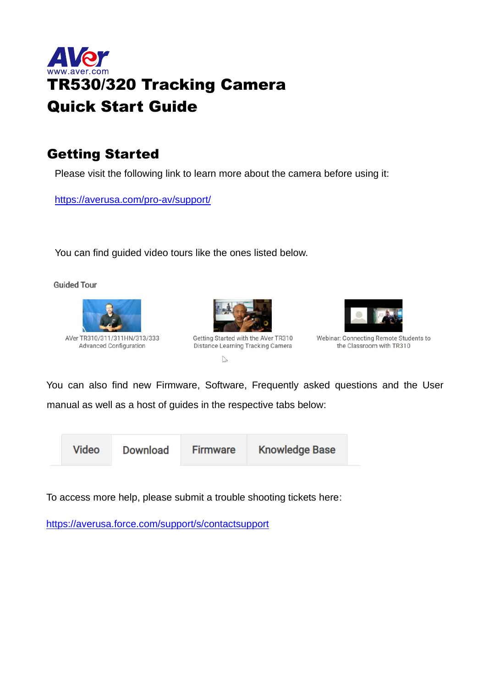

### Getting Started

Please visit the following link to learn more about the camera before using it:

<https://averusa.com/pro-av/support/>

You can find guided video tours like the ones listed below.

**Guided Tour** 





Getting Started with the AVer TR310 Distance Learning Tracking Camera  $\mathbb{Z}$ 



Webinar: Connecting Remote Students to the Classroom with TR310

You can also find new Firmware, Software, Frequently asked questions and the User manual as well as a host of guides in the respective tabs below:

**Video** 

**Download** 

**Firmware** 

**Knowledge Base** 

To access more help, please submit a trouble shooting tickets here:

<https://averusa.force.com/support/s/contactsupport>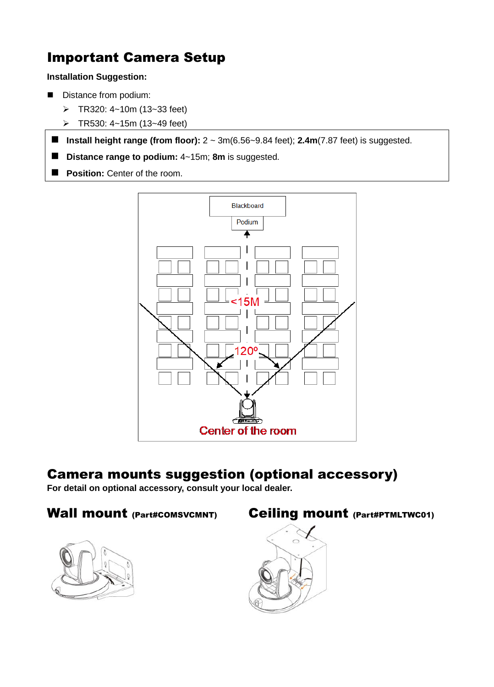# Important Camera Setup

#### **Installation Suggestion:**

- Distance from podium:
	- ➢ TR320: 4~10m (13~33 feet)
	- ➢ TR530: 4~15m (13~49 feet)
- Install height range (from floor):  $2 \text{ ~}3m(6.56 \text{ ~}9.84 \text{ feet})$ ; **2.4m**(7.87 feet) is suggested.
- **Distance range to podium:** 4~15m; 8m is suggested.
- **Position:** Center of the room.



### Camera mounts suggestion (optional accessory)

**For detail on optional accessory, consult your local dealer.**

#### Wall mount (Part#COMSVCMNT) Ceiling mount (Part#PTMLTWC01)





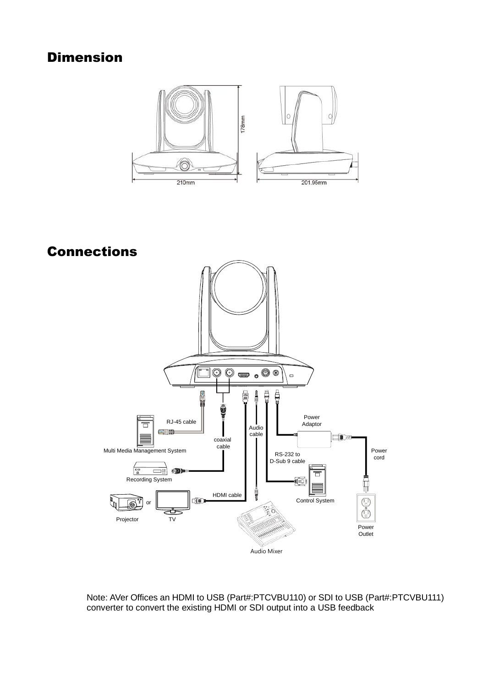## Dimension



Connections



Note: AVer Offices an HDMI to USB (Part#:PTCVBU110) or SDI to USB (Part#:PTCVBU111) converter to convert the existing HDMI or SDI output into a USB feedback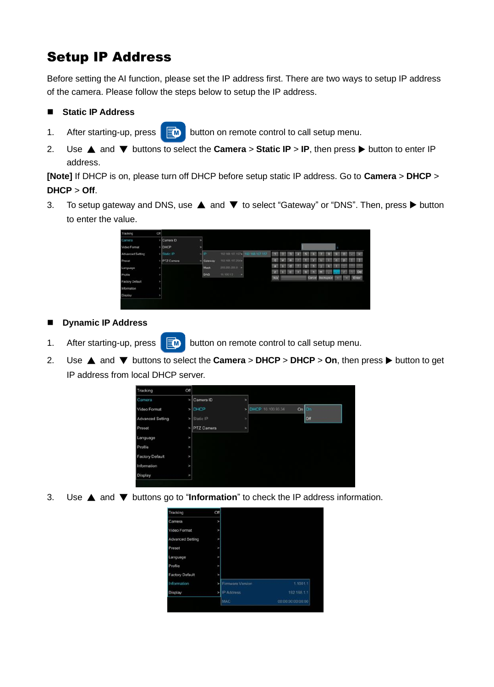# Setup IP Address

Before setting the AI function, please set the IP address first. There are two ways to setup IP address of the camera. Please follow the steps below to setup the IP address.

#### ■ **Static IP Address**

- 1. After starting-up, press  $\overline{\mathbb{R}}$  button on remote control to call setup menu.
- 2. Use ▲ and ▼ buttons to select the **Camera** > **Static IP** > **IP**, then press button to enter IP address.

**[Note]** If DHCP is on, please turn off DHCP before setup static IP address. Go to **Camera** > **DHCP** > **DHCP** > **Off**.

3. To setup gateway and DNS, use **△** and ▼ to select "Gateway" or "DNS". Then, press ▶ button to enter the value.

| Tracking         | Off |              |   |                |                  |                                   |                        |   |  |  |                  |  |       |
|------------------|-----|--------------|---|----------------|------------------|-----------------------------------|------------------------|---|--|--|------------------|--|-------|
| Сапсы            |     | > Camera ID  | × |                |                  |                                   |                        |   |  |  |                  |  |       |
| Video Format     |     | $>$ DHCP     | ٠ |                |                  |                                   |                        |   |  |  |                  |  |       |
| Advanced Setting |     | > Static IP  |   | -IP            |                  | 192.105.107.157> 1932.108.107.157 |                        |   |  |  |                  |  |       |
| Preset           |     | > PTZ Camera |   | <b>Gateway</b> | 192.108.107.2543 |                                   | <b>q</b>               |   |  |  |                  |  |       |
| Language         |     |              |   | Mask           | 2552552550 >     |                                   | $\mathbf{a}^{\dagger}$ | × |  |  |                  |  |       |
| Profile          | ı   |              |   | <b>DNS</b>     | 10.100.1.5<br>u  |                                   | $Z^{\pm}$              |   |  |  |                  |  | Del   |
| Factory Default  |     |              |   |                |                  |                                   | $N\alpha$              |   |  |  | Carcel Backspace |  | Enter |
| Information      | ł   |              |   |                |                  |                                   |                        |   |  |  |                  |  |       |
| Display          |     |              |   |                |                  |                                   |                        |   |  |  |                  |  |       |

- ◼ **Dynamic IP Address**
- 1. After starting-up, press  $\overline{\mathbb{R}}$  button on remote control to call setup menu.
- 2. Use ▲ and ▼ buttons to select the **Camera** > **DHCP** > **DHCP** > **On**, then press button to get IP address from local DHCP server.

| Tracking               | Off            |                   |               |                     |            |
|------------------------|----------------|-------------------|---------------|---------------------|------------|
| Camera                 | ×              | Camera ID         | s             |                     |            |
| Video Format           |                | > DHCP            |               | > DHCP 10.100.93.34 | On On      |
| Advanced Setting       |                | $>$ Static IP     | $\rightarrow$ |                     | <b>Off</b> |
| Preset                 | v              | <b>PTZ</b> Camera | $\rightarrow$ |                     |            |
| Language               | v              |                   |               |                     |            |
| Profile                | $\overline{ }$ |                   |               |                     |            |
| <b>Factory Default</b> | v              |                   |               |                     |            |
| Information            | $\overline{ }$ |                   |               |                     |            |
| Display                | ×              |                   |               |                     |            |

3. Use ▲ and ▼ buttons go to "**Information**" to check the IP address information.

| Tracking               | Off            |                  |                   |
|------------------------|----------------|------------------|-------------------|
| Camera                 | $\rightarrow$  |                  |                   |
| Video Format           | ٠              |                  |                   |
| Advanced Setting       | $\rightarrow$  |                  |                   |
| Preset                 | $\overline{ }$ |                  |                   |
| Language               | ×              |                  |                   |
| Profile                | ь              |                  |                   |
| <b>Factory Default</b> | $\overline{ }$ |                  |                   |
| Information            |                | Firmware Version | 1.1001.1          |
| Display                |                | P Address        | 192.168.1.1       |
|                        |                | <b>MAC</b>       | 00:00:00:00:00:00 |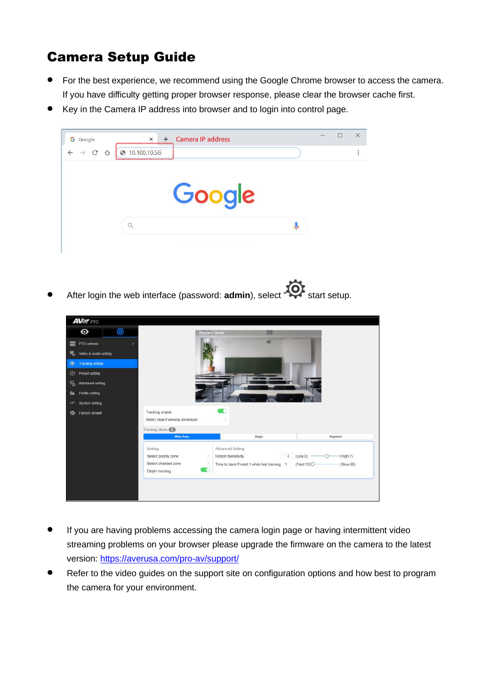# Camera Setup Guide

- For the best experience, we recommend using the Google Chrome browser to access the camera. If you have difficulty getting proper browser response, please clear the browser cache first.
- Key in the Camera IP address into browser and to login into control page.



After login the web interface (password: **admin**), select **"Of** start setup.



- If you are having problems accessing the camera login page or having intermittent video streaming problems on your browser please upgrade the firmware on the camera to the latest version: <https://averusa.com/pro-av/support/>
- Refer to the video guides on the support site on configuration options and how best to program the camera for your environment.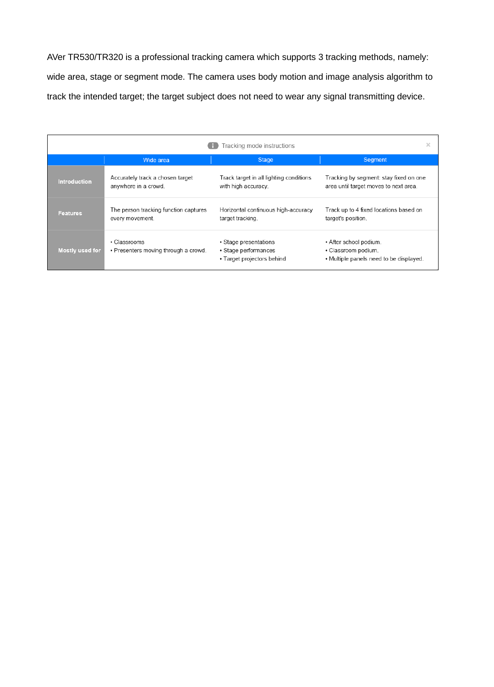AVer TR530/TR320 is a professional tracking camera which supports 3 tracking methods, namely: wide area, stage or segment mode. The camera uses body motion and image analysis algorithm to track the intended target; the target subject does not need to wear any signal transmitting device.

|                     |                                                          | Tracking mode instructions                                                  | $\times$                                                                                 |
|---------------------|----------------------------------------------------------|-----------------------------------------------------------------------------|------------------------------------------------------------------------------------------|
|                     | Wide area                                                | <b>Stage</b>                                                                | <b>Segment</b>                                                                           |
| <b>Introduction</b> | Accurately track a chosen target<br>anywhere in a crowd. | Track target in all lighting conditions<br>with high accuracy.              | Tracking by segment: stay fixed on one<br>area until target moves to next area.          |
| <b>Features</b>     | The person tracking function captures<br>every movement. | Horizontal continuous high-accuracy<br>target tracking.                     | Track up to 4 fixed locations based on<br>target's position.                             |
| Mostly used for     | · Classrooms<br>• Presenters moving through a crowd.     | • Stage presentations<br>• Stage performances<br>• Target projectors behind | • After school podium.<br>• Classroom podium.<br>• Multiple panels need to be displayed. |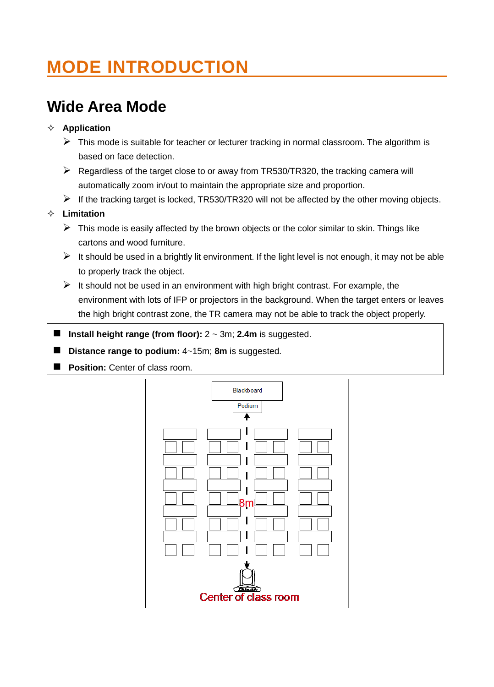# **MODE INTRODUCTION**

# **Wide Area Mode**

#### **Application**

- $\triangleright$  This mode is suitable for teacher or lecturer tracking in normal classroom. The algorithm is based on face detection.
- $\triangleright$  Regardless of the target close to or away from TR530/TR320, the tracking camera will automatically zoom in/out to maintain the appropriate size and proportion.
- $\triangleright$  If the tracking target is locked, TR530/TR320 will not be affected by the other moving objects.

#### **Limitation**

- $\triangleright$  This mode is easily affected by the brown objects or the color similar to skin. Things like cartons and wood furniture.
- $\triangleright$  It should be used in a brightly lit environment. If the light level is not enough, it may not be able to properly track the object.
- $\triangleright$  It should not be used in an environment with high bright contrast. For example, the environment with lots of IFP or projectors in the background. When the target enters or leaves the high bright contrast zone, the TR camera may not be able to track the object properly.
- Install height range (from floor):  $2 \sim 3$ m; 2.4m is suggested.
- ◼ **Distance range to podium:** 4~15m; **8m** is suggested.
- **Position:** Center of class room.

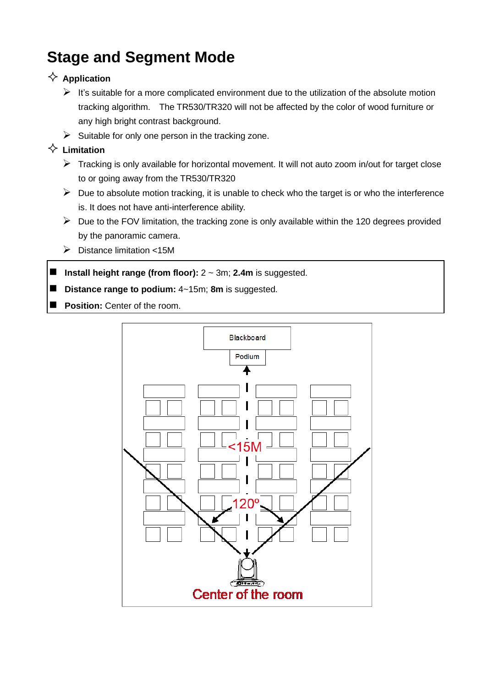# **Stage and Segment Mode**

#### $\diamondsuit$  Application

- $\triangleright$  It's suitable for a more complicated environment due to the utilization of the absolute motion tracking algorithm. The TR530/TR320 will not be affected by the color of wood furniture or any high bright contrast background.
- $\triangleright$  Suitable for only one person in the tracking zone.

#### **Limitation**

- ➢ Tracking is only available for horizontal movement. It will not auto zoom in/out for target close to or going away from the TR530/TR320
- $\triangleright$  Due to absolute motion tracking, it is unable to check who the target is or who the interference is. It does not have anti-interference ability.
- $\triangleright$  Due to the FOV limitation, the tracking zone is only available within the 120 degrees provided by the panoramic camera.
- ➢ Distance limitation <15M
- Install height range (from floor):  $2 \sim 3$ m; 2.4m is suggested.
- **Distance range to podium:**  $4 \sim 15$ m; **8m** is suggested.
- **Position:** Center of the room.

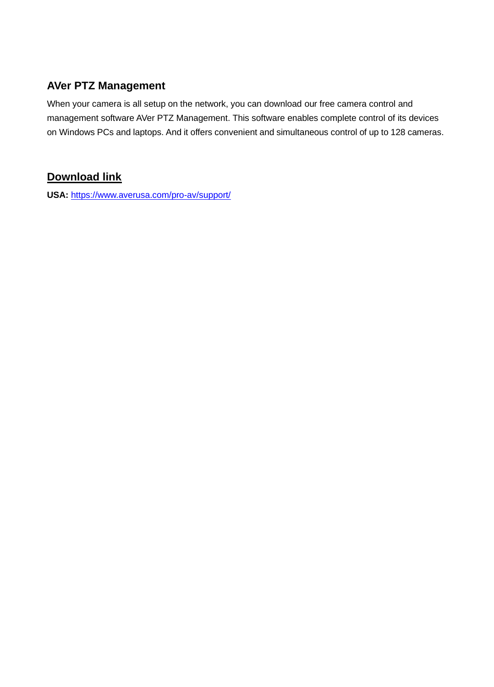### **AVer PTZ Management**

When your camera is all setup on the network, you can download our free camera control and management software AVer PTZ Management. This software enables complete control of its devices on Windows PCs and laptops. And it offers convenient and simultaneous control of up to 128 cameras.

#### **Download link**

**USA:** <https://www.averusa.com/pro-av/support/>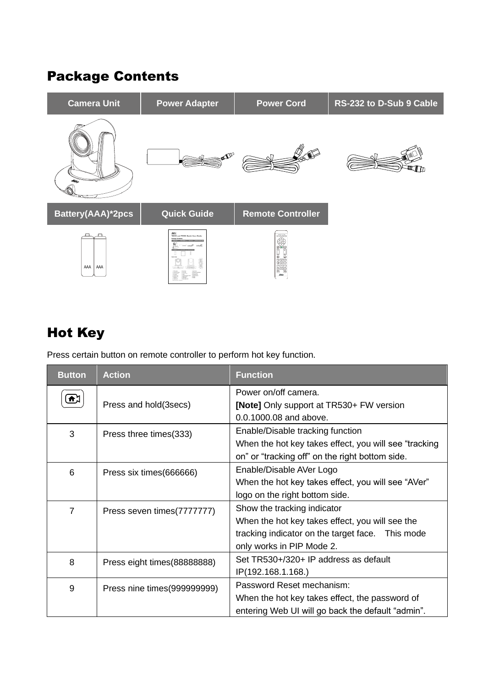## Package Contents



# Hot Key

Press certain button on remote controller to perform hot key function.

| <b>Button</b>  | <b>Action</b>                | <b>Function</b>                                                                                                                                                 |  |  |  |  |  |
|----------------|------------------------------|-----------------------------------------------------------------------------------------------------------------------------------------------------------------|--|--|--|--|--|
| Λ,             | Press and hold (3 secs)      | Power on/off camera.<br>[Note] Only support at TR530+ FW version<br>0.0.1000.08 and above.                                                                      |  |  |  |  |  |
| 3              | Press three times(333)       | Enable/Disable tracking function<br>When the hot key takes effect, you will see "tracking"<br>on" or "tracking off" on the right bottom side.                   |  |  |  |  |  |
| 6              | Press six times (666666)     | Enable/Disable AVer Logo<br>When the hot key takes effect, you will see "AVer"<br>logo on the right bottom side.                                                |  |  |  |  |  |
| $\overline{7}$ | Press seven times(7777777)   | Show the tracking indicator<br>When the hot key takes effect, you will see the<br>tracking indicator on the target face. This mode<br>only works in PIP Mode 2. |  |  |  |  |  |
| 8              | Press eight times (88888888) | Set TR530+/320+ IP address as default<br>IP(192.168.1.168.)                                                                                                     |  |  |  |  |  |
| 9              | Press nine times (999999999) | Password Reset mechanism:<br>When the hot key takes effect, the password of<br>entering Web UI will go back the default "admin".                                |  |  |  |  |  |